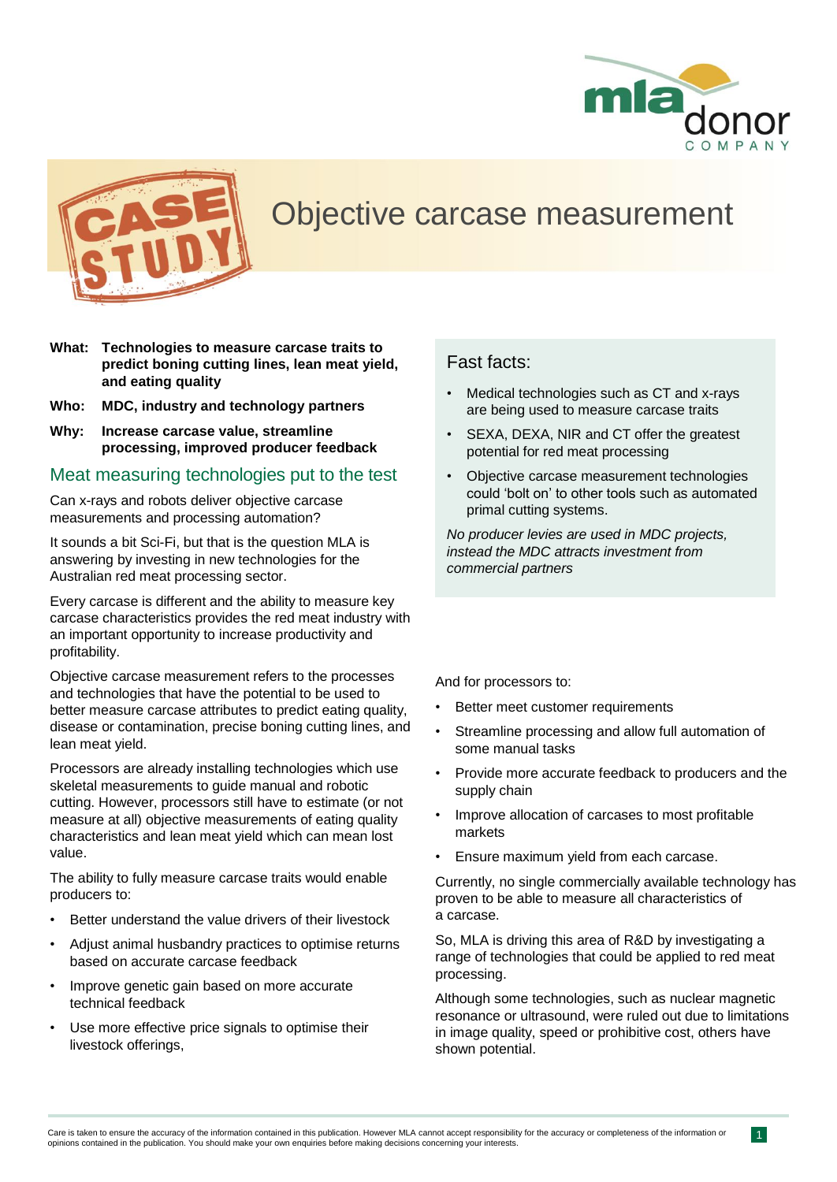



## Objective carcase measurement

- **What: Technologies to measure carcase traits to predict boning cutting lines, lean meat yield, and eating quality**
- **Who: MDC, industry and technology partners**
- **Why: Increase carcase value, streamline processing, improved producer feedback**

#### Meat measuring technologies put to the test

Can x-rays and robots deliver objective carcase measurements and processing automation?

It sounds a bit Sci-Fi, but that is the question MLA is answering by investing in new technologies for the Australian red meat processing sector.

Every carcase is different and the ability to measure key carcase characteristics provides the red meat industry with an important opportunity to increase productivity and profitability.

Objective carcase measurement refers to the processes and technologies that have the potential to be used to better measure carcase attributes to predict eating quality, disease or contamination, precise boning cutting lines, and lean meat yield.

Processors are already installing technologies which use skeletal measurements to guide manual and robotic cutting. However, processors still have to estimate (or not measure at all) objective measurements of eating quality characteristics and lean meat yield which can mean lost value.

The ability to fully measure carcase traits would enable producers to:

- Better understand the value drivers of their livestock
- Adjust animal husbandry practices to optimise returns based on accurate carcase feedback
- Improve genetic gain based on more accurate technical feedback
- Use more effective price signals to optimise their livestock offerings,

### Fast facts:

- Medical technologies such as CT and x-rays are being used to measure carcase traits
- SEXA, DEXA, NIR and CT offer the greatest potential for red meat processing
- Objective carcase measurement technologies could 'bolt on' to other tools such as automated primal cutting systems.

*No producer levies are used in MDC projects, instead the MDC attracts investment from commercial partners*

And for processors to:

- Better meet customer requirements
- Streamline processing and allow full automation of some manual tasks
- Provide more accurate feedback to producers and the supply chain
- Improve allocation of carcases to most profitable markets
- Ensure maximum yield from each carcase.

Currently, no single commercially available technology has proven to be able to measure all characteristics of a carcase.

So, MLA is driving this area of R&D by investigating a range of technologies that could be applied to red meat processing.

Although some technologies, such as nuclear magnetic resonance or ultrasound, were ruled out due to limitations in image quality, speed or prohibitive cost, others have shown potential.

 $\overline{1}$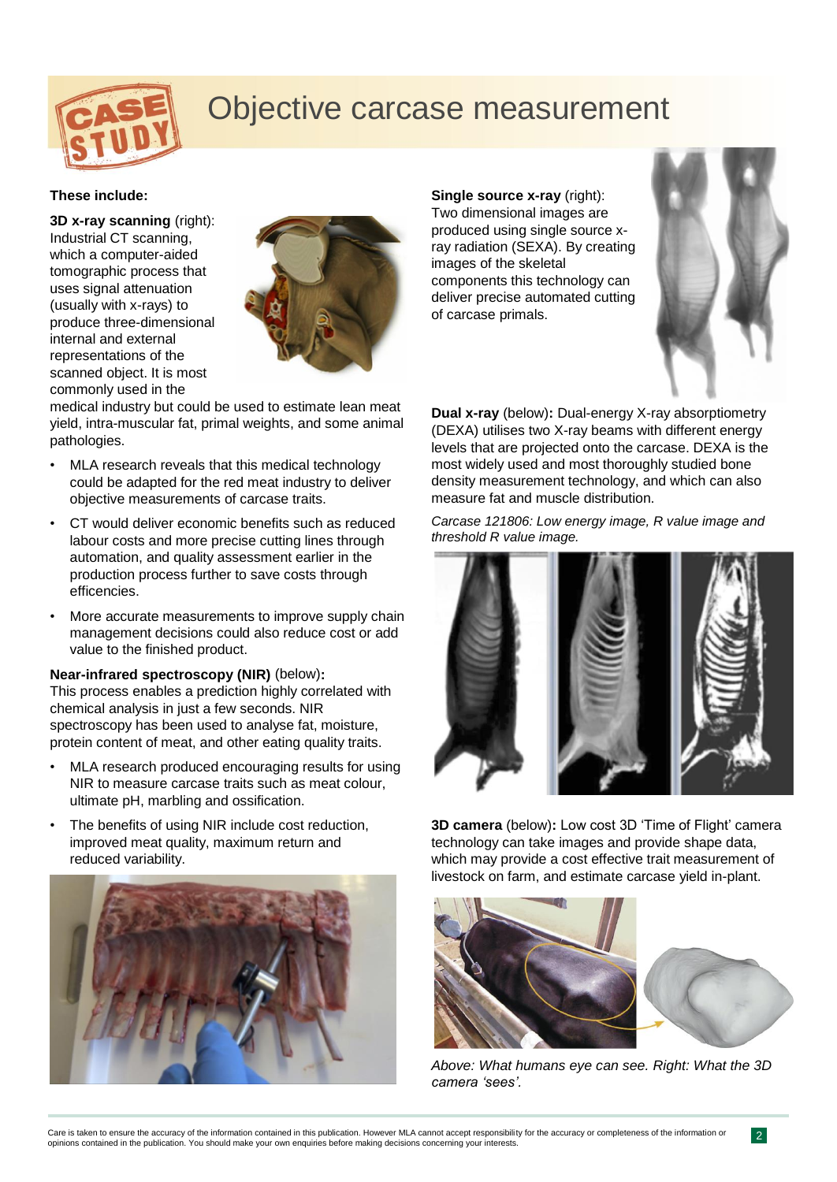

# Objective carcase measurement

#### **These include:**

**3D x-ray scanning** (right): Industrial CT scanning, which a computer-aided tomographic process that uses signal attenuation (usually with x-rays) to produce three-dimensional internal and external representations of the scanned object. It is most commonly used in the



medical industry but could be used to estimate lean meat yield, intra-muscular fat, primal weights, and some animal pathologies.

- MLA research reveals that this medical technology could be adapted for the red meat industry to deliver objective measurements of carcase traits.
- CT would deliver economic benefits such as reduced labour costs and more precise cutting lines through automation, and quality assessment earlier in the production process further to save costs through efficencies.
- More accurate measurements to improve supply chain management decisions could also reduce cost or add value to the finished product.

#### **Near-infrared spectroscopy (NIR)** (below)**:**

This process enables a prediction highly correlated with chemical analysis in just a few seconds. NIR spectroscopy has been used to analyse fat, moisture, protein content of meat, and other eating quality traits.

- MLA research produced encouraging results for using NIR to measure carcase traits such as meat colour, ultimate pH, marbling and ossification.
- The benefits of using NIR include cost reduction, improved meat quality, maximum return and reduced variability.



**Single source x-ray** (right): Two dimensional images are produced using single source xray radiation (SEXA). By creating images of the skeletal components this technology can deliver precise automated cutting of carcase primals.



**Dual x-ray** (below)**:** Dual-energy X-ray absorptiometry (DEXA) utilises two X-ray beams with different energy levels that are projected onto the carcase. DEXA is the most widely used and most thoroughly studied bone density measurement technology, and which can also measure fat and muscle distribution.

*Carcase 121806: Low energy image, R value image and threshold R value image.*



**3D camera** (below)**:** Low cost 3D 'Time of Flight' camera technology can take images and provide shape data, which may provide a cost effective trait measurement of livestock on farm, and estimate carcase yield in-plant.



*Above: What humans eye can see. Right: What the 3D camera 'sees'.*

2